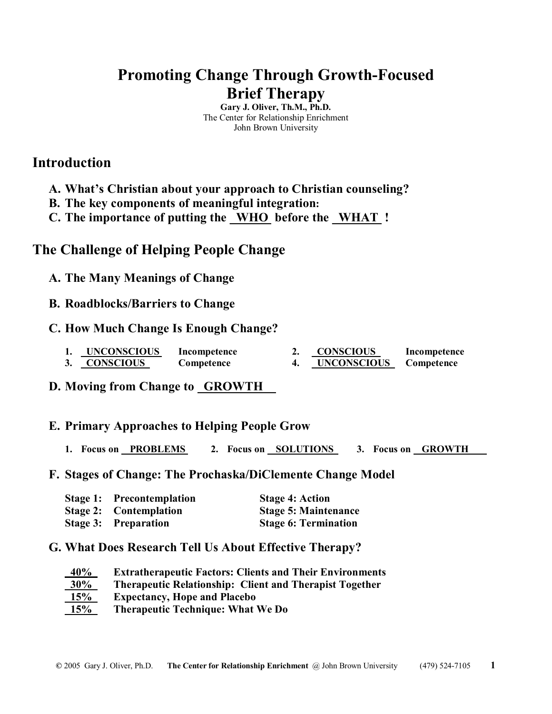# **Promoting Change Through Growth-Focused Brief Therapy**

**Gary J. Oliver, Th.M., Ph.D.**  The Center for Relationship Enrichment John Brown University

## **Introduction**

- **A. What's Christian about your approach to Christian counseling?**
- **B. The key components of meaningful integration:**
- **C. The importance of putting the \_WHO before the \_WHAT !**

## **The Challenge of Helping People Change**

- **A. The Many Meanings of Change**
- **B. Roadblocks/Barriers to Change**
- **C. How Much Change Is Enough Change?**
	- **1. UNCONSCIOUS Incompetence 2. CONSCIOUS Incompetence**
	- **3. CONSCIOUS Competence 4. UNCONSCIOUS Competence**
- **D. Moving from Change to GROWTH**

### **E. Primary Approaches to Helping People Grow**

- **1. Focus on PROBLEMS 2. Focus on SOLUTIONS 3. Focus on GROWTH**
- **F. Stages of Change: The Prochaska/DiClemente Change Model**

| <b>Stage 1:</b> Precontemplation | <b>Stage 4: Action</b>      |
|----------------------------------|-----------------------------|
| <b>Stage 2:</b> Contemplation    | <b>Stage 5: Maintenance</b> |
| <b>Stage 3: Preparation</b>      | <b>Stage 6: Termination</b> |

### **G. What Does Research Tell Us About Effective Therapy?**

| 40%    | <b>Extratherapeutic Factors: Clients and Their Environments</b> |  |
|--------|-----------------------------------------------------------------|--|
| $30\%$ | <b>Therapeutic Relationship: Client and Therapist Together</b>  |  |
| 15%    | <b>Expectancy, Hope and Placebo</b>                             |  |
| 15%    | <b>Therapeutic Technique: What We Do</b>                        |  |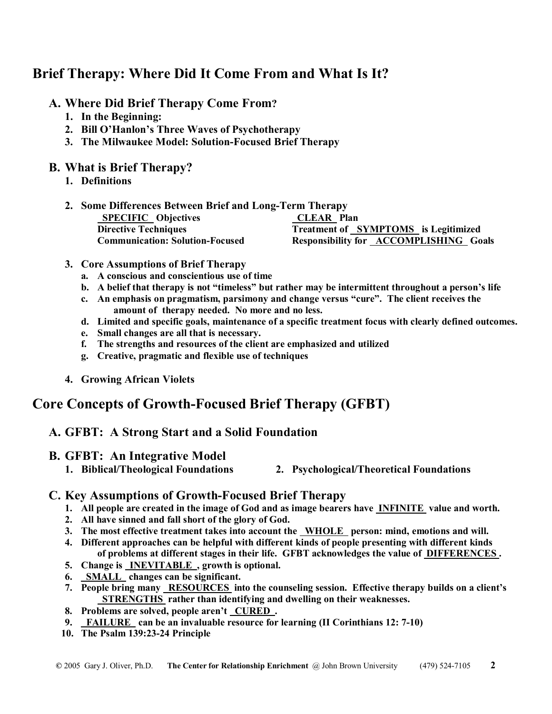# **Brief Therapy: Where Did It Come From and What Is It?**

- **A. Where Did Brief Therapy Come From?** 
	- **1. In the Beginning:**
	- **2. Bill O'Hanlon's Three Waves of Psychotherapy**
	- **3. The Milwaukee Model: Solution-Focused Brief Therapy**

### **B. What is Brief Therapy?**

- **1. Definitions**
- **2. Some Differences Between Brief and Long-Term Therapy SPECIFIC Objectives CLEAR Plan Directive Techniques Treatment of SYMPTOMS is Legitimized Communication: Solution-Focused Responsibility for ACCOMPLISHING Goals**
- **3. Core Assumptions of Brief Therapy** 
	- **a. A conscious and conscientious use of time**
	- **b. A belief that therapy is not "timeless" but rather may be intermittent throughout a person's life**
	- **c. An emphasis on pragmatism, parsimony and change versus "cure". The client receives the amount of therapy needed. No more and no less.**
	- **d. Limited and specific goals, maintenance of a specific treatment focus with clearly defined outcomes.**
	- **e. Small changes are all that is necessary.**
	- **f. The strengths and resources of the client are emphasized and utilized**
	- **g. Creative, pragmatic and flexible use of techniques**
- **4. Growing African Violets**

# **Core Concepts of Growth-Focused Brief Therapy (GFBT)**

### **A. GFBT: A Strong Start and a Solid Foundation**

### **B. GFBT: An Integrative Model**

- 
- **1. Biblical/Theological Foundations 2. Psychological/Theoretical Foundations**

### **C. Key Assumptions of Growth-Focused Brief Therapy**

- **1. All people are created in the image of God and as image bearers have INFINITE value and worth.**
- **2. All have sinned and fall short of the glory of God.**
- **3. The most effective treatment takes into account the WHOLE person: mind, emotions and will.**
- **4. Different approaches can be helpful with different kinds of people presenting with different kinds of problems at different stages in their life. GFBT acknowledges the value of DIFFERENCES .**
- **5. Change is INEVITABLE , growth is optional.**
- **6. SMALL changes can be significant.**
- **7. People bring many RESOURCES into the counseling session. Effective therapy builds on a client's STRENGTHS rather than identifying and dwelling on their weaknesses.**
- **8. Problems are solved, people aren't CURED .**
- **9. FAILURE can be an invaluable resource for learning (II Corinthians 12: 7-10)**
- **10. The Psalm 139:23-24 Principle**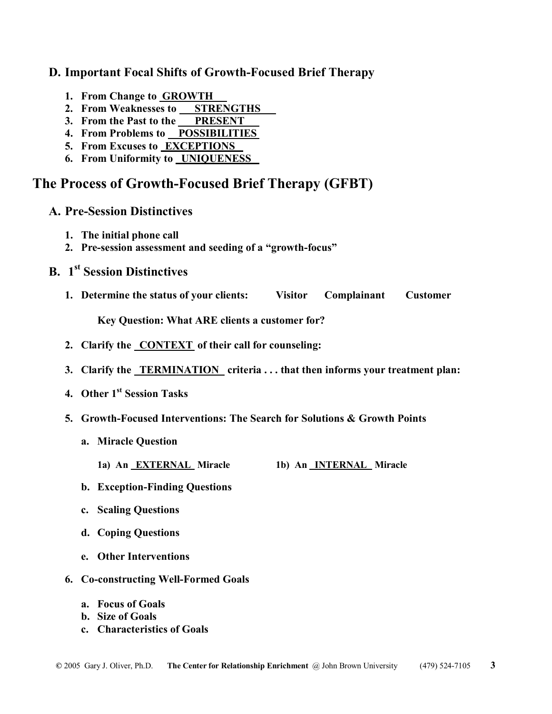### **D. Important Focal Shifts of Growth-Focused Brief Therapy**

- **1. From Change to GROWTH**
- **2. From Weaknesses to STRENGTHS**
- **3. From the Past to the PRESENT**
- **4. From Problems to POSSIBILITIES**
- **5. From Excuses to EXCEPTIONS**
- **6. From Uniformity to UNIQUENESS**

## **The Process of Growth-Focused Brief Therapy (GFBT)**

- **A. Pre-Session Distinctives**
	- **1. The initial phone call**
	- **2. Pre-session assessment and seeding of a "growth-focus"**
- **B.** 1<sup>st</sup> Session Distinctives
	- **1. Determine the status of your clients: Visitor Complainant Customer**

**Key Question: What ARE clients a customer for?** 

- **2. Clarify the CONTEXT of their call for counseling:**
- **3. Clarify the TERMINATION criteria ... that then informs your treatment plan:**
- **4. Other 1st Session Tasks**
- **5. Growth-Focused Interventions: The Search for Solutions & Growth Points** 
	- **a. Miracle Question** 
		- **1a) An EXTERNAL Miracle 1b) An INTERNAL Miracle**
	- **b. Exception-Finding Questions**
	- **c. Scaling Questions**
	- **d. Coping Questions**
	- **e. Other Interventions**
- **6. Co-constructing Well-Formed Goals** 
	- **a. Focus of Goals**
	- **b. Size of Goals**
	- **c. Characteristics of Goals**